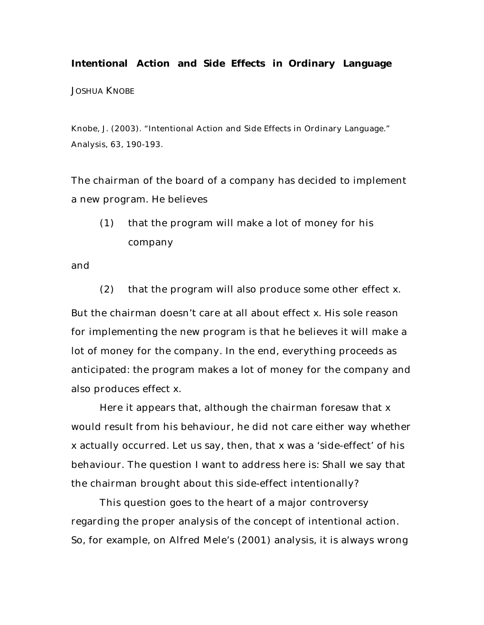# *Intentional Action and Side Effects in Ordinary Language* JOSHUA KNOBE

Knobe, J. (2003). "Intentional Action and Side Effects in Ordinary Language." *Analysis,* 63, 190-193.

The chairman of the board of a company has decided to implement a new program. He believes

(1) that the program will make a lot of money for his company

and

(2) that the program will also produce some other effect *x*. But the chairman doesn't care at all about effect *x*. His sole reason for implementing the new program is that he believes it will make a lot of money for the company. In the end, everything proceeds as anticipated: the program makes a lot of money for the company and also produces effect *x*.

Here it appears that, although the chairman foresaw that *x* would result from his behaviour, he did not care either way whether *x* actually occurred. Let us say, then, that *x* was a 'side-effect' of his behaviour. The question I want to address here is: Shall we say that the chairman brought about this side-effect *intentionally*?

This question goes to the heart of a major controversy regarding the proper analysis of the concept of intentional action. So, for example, on Alfred Mele's (2001) analysis, it is always wrong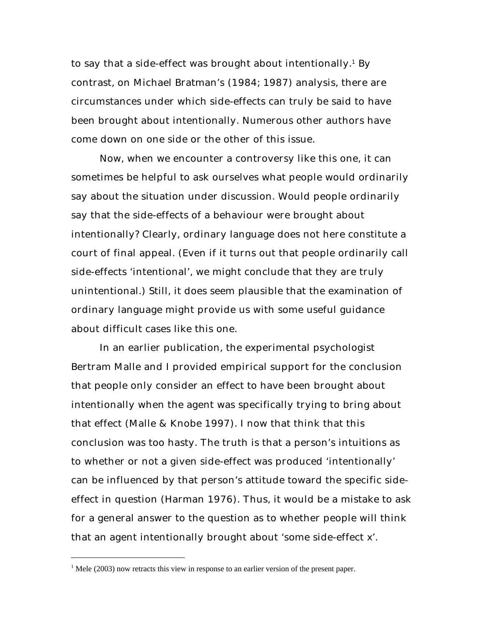to say that a side-effect was brought about intentionally. $^{\rm 1}$  By contrast, on Michael Bratman's (1984; 1987) analysis, there are circumstances under which side-effects can truly be said to have been brought about intentionally. Numerous other authors have come down on one side or the other of this issue.

Now, when we encounter a controversy like this one, it can sometimes be helpful to ask ourselves what people would ordinarily say about the situation under discussion. Would people ordinarily say that the side-effects of a behaviour were brought about intentionally? Clearly, ordinary language does not here constitute a court of final appeal. (Even if it turns out that people ordinarily call side-effects 'intentional', we might conclude that they are truly unintentional.) Still, it does seem plausible that the examination of ordinary language might provide us with some useful guidance about difficult cases like this one.

In an earlier publication, the experimental psychologist Bertram Malle and I provided empirical support for the conclusion that people only consider an effect to have been brought about intentionally when the agent was specifically trying to bring about that effect (Malle & Knobe 1997). I now that think that this conclusion was too hasty. The truth is that a person's intuitions as to whether or not a given side-effect was produced 'intentionally' can be influenced by that person's attitude toward the specific sideeffect in question (Harman 1976). Thus, it would be a mistake to ask for a general answer to the question as to whether people will think that an agent intentionally brought about 'some side-effect *x*'.

 $\overline{a}$ 

 $<sup>1</sup>$  Mele (2003) now retracts this view in response to an earlier version of the present paper.</sup>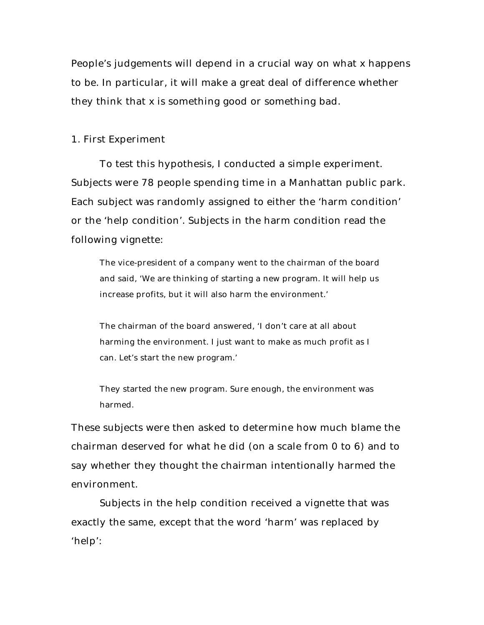People's judgements will depend in a crucial way on what *x* happens to be. In particular, it will make a great deal of difference whether they think that *x* is something good or something bad.

## *1. First Experiment*

To test this hypothesis, I conducted a simple experiment. Subjects were 78 people spending time in a Manhattan public park. Each subject was randomly assigned to either the 'harm condition' or the 'help condition'. Subjects in the harm condition read the following vignette:

The vice-president of a company went to the chairman of the board and said, 'We are thinking of starting a new program. It will help us increase profits, but it will also harm the environment.'

The chairman of the board answered, 'I don't care at all about harming the environment. I just want to make as much profit as I can. Let's start the new program.'

They started the new program. Sure enough, the environment was harmed.

These subjects were then asked to determine how much blame the chairman deserved for what he did (on a scale from 0 to 6) and to say whether they thought the chairman *intentionally* harmed the environment.

Subjects in the help condition received a vignette that was exactly the same, except that the word 'harm' was replaced by 'help':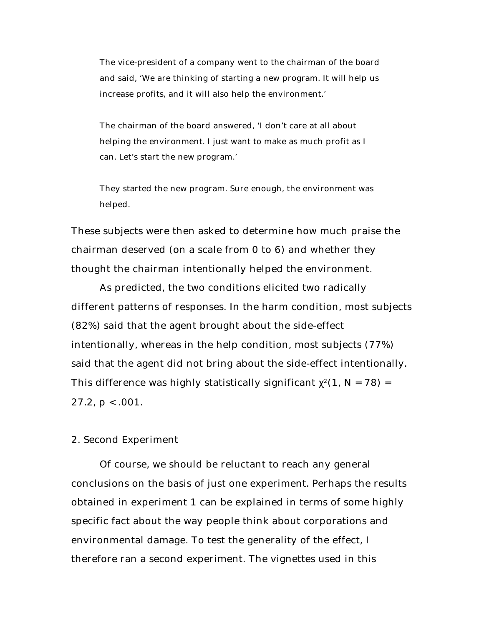The vice-president of a company went to the chairman of the board and said, 'We are thinking of starting a new program. It will help us increase profits, and it will also help the environment.'

The chairman of the board answered, 'I don't care at all about helping the environment. I just want to make as much profit as I can. Let's start the new program.'

They started the new program. Sure enough, the environment was helped.

These subjects were then asked to determine how much praise the chairman deserved (on a scale from 0 to 6) and whether they thought the chairman *intentionally* helped the environment.

As predicted, the two conditions elicited two radically different patterns of responses. In the harm condition, most subjects (82%) said that the agent brought about the side-effect intentionally, whereas in the help condition, most subjects (77%) said that the agent did not bring about the side-effect intentionally. This difference was highly statistically significant  $^{2}(1, N = 78)$  = 27.2, *p* < .001*.*

# *2. Second Experiment*

Of course, we should be reluctant to reach any general conclusions on the basis of just one experiment. Perhaps the results obtained in experiment 1 can be explained in terms of some highly specific fact about the way people think about corporations and environmental damage. To test the generality of the effect, I therefore ran a second experiment. The vignettes used in this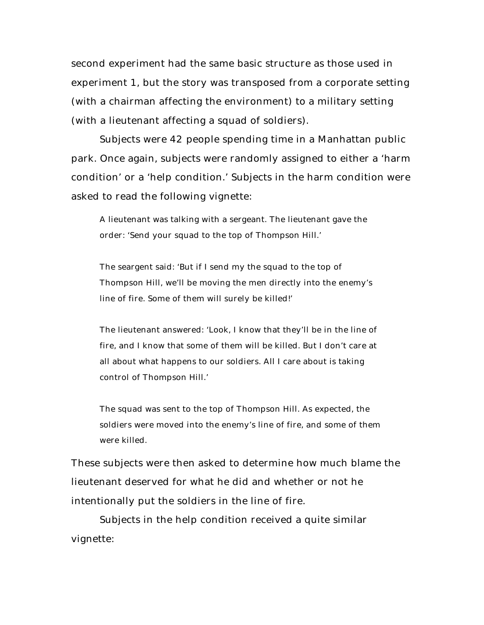second experiment had the same basic structure as those used in experiment 1, but the story was transposed from a corporate setting (with a chairman affecting the environment) to a military setting (with a lieutenant affecting a squad of soldiers).

Subjects were 42 people spending time in a Manhattan public park. Once again, subjects were randomly assigned to either a 'harm condition' or a 'help condition.' Subjects in the harm condition were asked to read the following vignette:

A lieutenant was talking with a sergeant. The lieutenant gave the order: 'Send your squad to the top of Thompson Hill.'

The seargent said: 'But if I send my the squad to the top of Thompson Hill, we'll be moving the men directly into the enemy's line of fire. Some of them will surely be killed!'

The lieutenant answered: 'Look, I know that they'll be in the line of fire, and I know that some of them will be killed. But I don't care at all about what happens to our soldiers. All I care about is taking control of Thompson Hill.'

The squad was sent to the top of Thompson Hill. As expected, the soldiers were moved into the enemy's line of fire, and some of them were killed.

These subjects were then asked to determine how much blame the lieutenant deserved for what he did and whether or not he intentionally put the soldiers in the line of fire.

Subjects in the help condition received a quite similar vignette: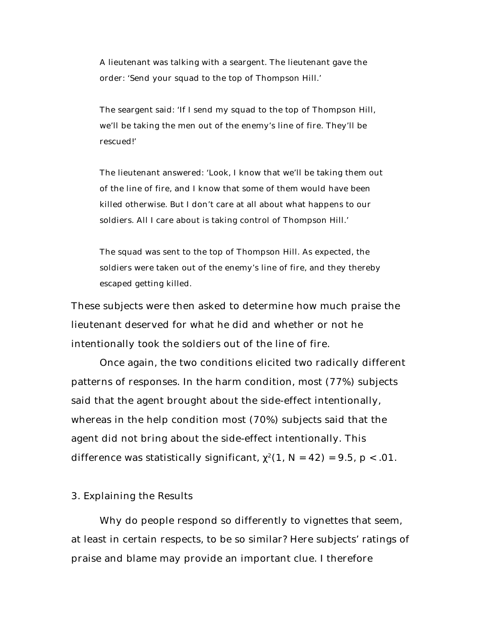A lieutenant was talking with a seargent. The lieutenant gave the order: 'Send your squad to the top of Thompson Hill.'

The seargent said: 'If I send my squad to the top of Thompson Hill, we'll be taking the men out of the enemy's line of fire. They'll be rescued!'

The lieutenant answered: 'Look, I know that we'll be taking them out of the line of fire, and I know that some of them would have been killed otherwise. But I don't care at all about what happens to our soldiers. All I care about is taking control of Thompson Hill.'

The squad was sent to the top of Thompson Hill. As expected, the soldiers were taken out of the enemy's line of fire, and they thereby escaped getting killed.

These subjects were then asked to determine how much praise the lieutenant deserved for what he did and whether or not he intentionally took the soldiers out of the line of fire.

Once again, the two conditions elicited two radically different patterns of responses. In the harm condition, most (77%) subjects said that the agent brought about the side-effect intentionally, whereas in the help condition most (70%) subjects said that the agent did not bring about the side-effect intentionally. This difference was statistically significant,  $^{2}(1, N = 42) = 9.5, p < .01$ .

#### *3. Explaining the Results*

Why do people respond so differently to vignettes that seem, at least in certain respects, to be so similar? Here subjects' ratings of praise and blame may provide an important clue. I therefore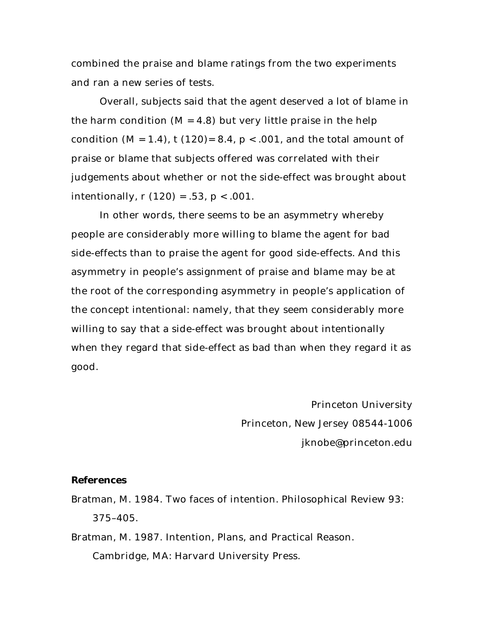combined the praise and blame ratings from the two experiments and ran a new series of tests.

Overall, subjects said that the agent deserved a lot of blame in the harm condition  $(M = 4.8)$  but very little praise in the help condition  $(M = 1.4)$ ,  $t(120) = 8.4$ ,  $p < .001$ , and the total amount of praise or blame that subjects offered was correlated with their judgements about whether or not the side-effect was brought about intentionally, *r* (120) = .53, *p* < .001.

In other words, there seems to be an asymmetry whereby people are considerably more willing to blame the agent for bad side-effects than to praise the agent for good side-effects. And this asymmetry in people's assignment of praise and blame may be at the root of the corresponding asymmetry in people's application of the concept *intentional*: namely, that they seem considerably more willing to say that a side-effect was brought about intentionally when they regard that side-effect as bad than when they regard it as good.

> *Princeton University Princeton, New Jersey 08544-1006 jknobe@princeton.edu*

## *References*

- Bratman, M. 1984. Two faces of intention. *Philosophical Review* 93: 375–405.
- Bratman, M. 1987. *Intention, Plans, and Practical Reason*. Cambridge, MA: Harvard University Press.